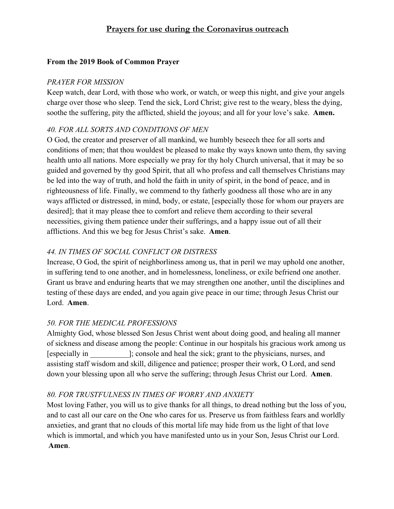# **Prayers for use during the Coronavirus outreach**

### **From the 2019 Book of Common Prayer**

#### *PRAYER FOR MISSION*

Keep watch, dear Lord, with those who work, or watch, or weep this night, and give your angels charge over those who sleep. Tend the sick, Lord Christ; give rest to the weary, bless the dying, soothe the suffering, pity the afflicted, shield the joyous; and all for your love's sake. **Amen.**

## *40. FOR ALL SORTS AND CONDITIONS OF MEN*

O God, the creator and preserver of all mankind, we humbly beseech thee for all sorts and conditions of men; that thou wouldest be pleased to make thy ways known unto them, thy saving health unto all nations. More especially we pray for thy holy Church universal, that it may be so guided and governed by thy good Spirit, that all who profess and call themselves Christians may be led into the way of truth, and hold the faith in unity of spirit, in the bond of peace, and in righteousness of life. Finally, we commend to thy fatherly goodness all those who are in any ways afflicted or distressed, in mind, body, or estate, [especially those for whom our prayers are desired]; that it may please thee to comfort and relieve them according to their several necessities, giving them patience under their sufferings, and a happy issue out of all their afflictions. And this we beg for Jesus Christ's sake.  **Amen**.

## *44. IN TIMES OF SOCIAL CONFLICT OR DISTRESS*

Increase, O God, the spirit of neighborliness among us, that in peril we may uphold one another, in suffering tend to one another, and in homelessness, loneliness, or exile befriend one another. Grant us brave and enduring hearts that we may strengthen one another, until the disciplines and testing of these days are ended, and you again give peace in our time; through Jesus Christ our Lord.  **Amen**.

## *50. FOR THE MEDICAL PROFESSIONS*

Almighty God, whose blessed Son Jesus Christ went about doing good, and healing all manner of sickness and disease among the people: Continue in our hospitals his gracious work among us [especially in \_\_\_\_\_\_\_\_\_\_]; console and heal the sick; grant to the physicians, nurses, and assisting staff wisdom and skill, diligence and patience; prosper their work, O Lord, and send down your blessing upon all who serve the suffering; through Jesus Christ our Lord.  **Amen**.

### *80. FOR TRUSTFULNESS IN TIMES OF WORRY AND ANXIETY*

Most loving Father, you will us to give thanks for all things, to dread nothing but the loss of you, and to cast all our care on the One who cares for us. Preserve us from faithless fears and worldly anxieties, and grant that no clouds of this mortal life may hide from us the light of that love which is immortal, and which you have manifested unto us in your Son, Jesus Christ our Lord. **Amen**.